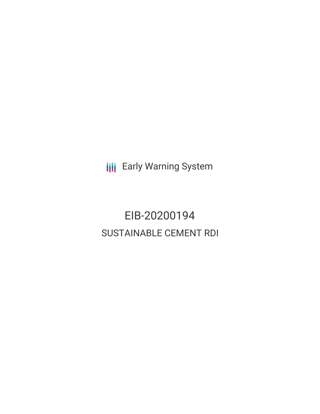**III** Early Warning System

EIB-20200194 SUSTAINABLE CEMENT RDI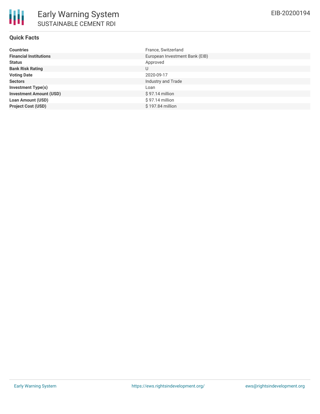## **Quick Facts**

| <b>Countries</b>               | France, Switzerland            |
|--------------------------------|--------------------------------|
| <b>Financial Institutions</b>  | European Investment Bank (EIB) |
| <b>Status</b>                  | Approved                       |
| <b>Bank Risk Rating</b>        | U                              |
| <b>Voting Date</b>             | 2020-09-17                     |
| <b>Sectors</b>                 | Industry and Trade             |
| <b>Investment Type(s)</b>      | Loan                           |
| <b>Investment Amount (USD)</b> | $$97.14$ million               |
| <b>Loan Amount (USD)</b>       | $$97.14$ million               |
| <b>Project Cost (USD)</b>      | \$197.84 million               |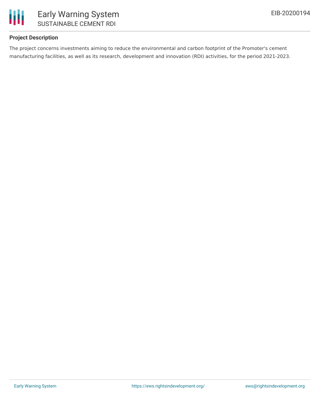

## **Project Description**

The project concerns investments aiming to reduce the environmental and carbon footprint of the Promoter's cement manufacturing facilities, as well as its research, development and innovation (RDI) activities, for the period 2021-2023.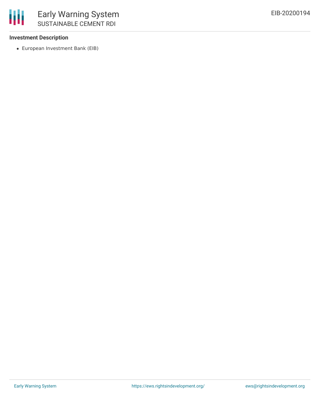

### **Investment Description**

European Investment Bank (EIB)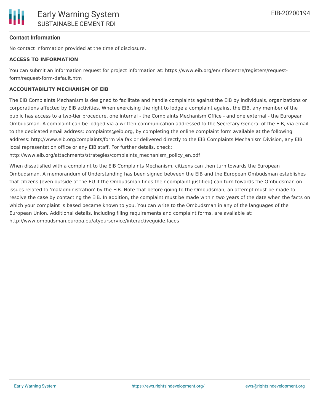## **Contact Information**

No contact information provided at the time of disclosure.

#### **ACCESS TO INFORMATION**

You can submit an information request for project information at: https://www.eib.org/en/infocentre/registers/requestform/request-form-default.htm

#### **ACCOUNTABILITY MECHANISM OF EIB**

The EIB Complaints Mechanism is designed to facilitate and handle complaints against the EIB by individuals, organizations or corporations affected by EIB activities. When exercising the right to lodge a complaint against the EIB, any member of the public has access to a two-tier procedure, one internal - the Complaints Mechanism Office - and one external - the European Ombudsman. A complaint can be lodged via a written communication addressed to the Secretary General of the EIB, via email to the dedicated email address: complaints@eib.org, by completing the online complaint form available at the following address: http://www.eib.org/complaints/form via fax or delivered directly to the EIB Complaints Mechanism Division, any EIB local representation office or any EIB staff. For further details, check:

http://www.eib.org/attachments/strategies/complaints\_mechanism\_policy\_en.pdf

When dissatisfied with a complaint to the EIB Complaints Mechanism, citizens can then turn towards the European Ombudsman. A memorandum of Understanding has been signed between the EIB and the European Ombudsman establishes that citizens (even outside of the EU if the Ombudsman finds their complaint justified) can turn towards the Ombudsman on issues related to 'maladministration' by the EIB. Note that before going to the Ombudsman, an attempt must be made to resolve the case by contacting the EIB. In addition, the complaint must be made within two years of the date when the facts on which your complaint is based became known to you. You can write to the Ombudsman in any of the languages of the European Union. Additional details, including filing requirements and complaint forms, are available at: http://www.ombudsman.europa.eu/atyourservice/interactiveguide.faces